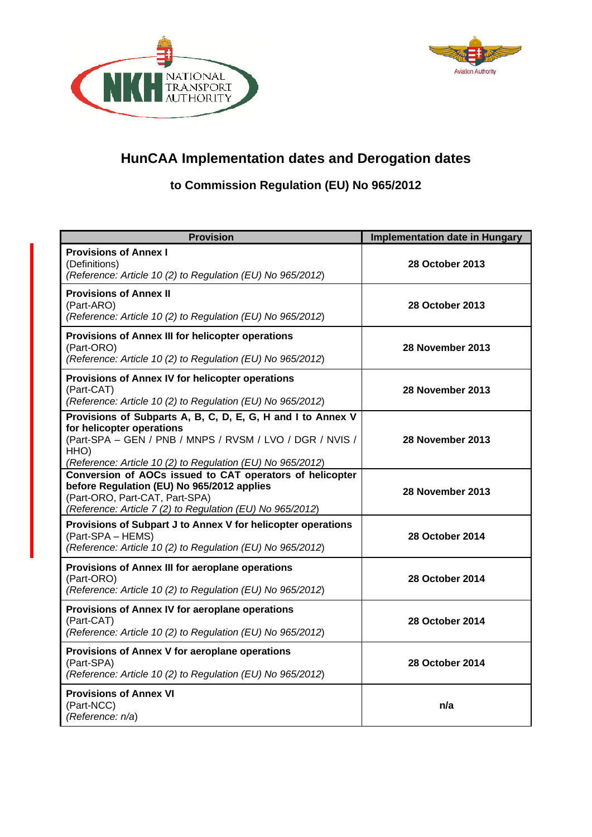



## **HunCAA Implementation dates and Derogation dates**

## **to Commission Regulation (EU) No 965/2012**

| <b>Provision</b>                                                                                                                                                                                                           | <b>Implementation date in Hungary</b> |
|----------------------------------------------------------------------------------------------------------------------------------------------------------------------------------------------------------------------------|---------------------------------------|
| <b>Provisions of Annex I</b><br>(Definitions)<br>(Reference: Article 10 (2) to Regulation (EU) No 965/2012)                                                                                                                | <b>28 October 2013</b>                |
| <b>Provisions of Annex II</b><br>(Part-ARO)<br>(Reference: Article 10 (2) to Regulation (EU) No 965/2012)                                                                                                                  | <b>28 October 2013</b>                |
| Provisions of Annex III for helicopter operations<br>(Part-ORO)<br>(Reference: Article 10 (2) to Regulation (EU) No 965/2012)                                                                                              | 28 November 2013                      |
| Provisions of Annex IV for helicopter operations<br>(Part-CAT)<br>(Reference: Article 10 (2) to Regulation (EU) No 965/2012)                                                                                               | 28 November 2013                      |
| Provisions of Subparts A, B, C, D, E, G, H and I to Annex V<br>for helicopter operations<br>(Part-SPA - GEN / PNB / MNPS / RVSM / LVO / DGR / NVIS /<br>HHO)<br>(Reference: Article 10 (2) to Regulation (EU) No 965/2012) | 28 November 2013                      |
| Conversion of AOCs issued to CAT operators of helicopter<br>before Regulation (EU) No 965/2012 applies<br>(Part-ORO, Part-CAT, Part-SPA)<br>(Reference: Article 7 (2) to Regulation (EU) No 965/2012)                      | 28 November 2013                      |
| Provisions of Subpart J to Annex V for helicopter operations<br>(Part-SPA – HEMS)<br>(Reference: Article 10 (2) to Regulation (EU) No 965/2012)                                                                            | <b>28 October 2014</b>                |
| Provisions of Annex III for aeroplane operations<br>(Part-ORO)<br>(Reference: Article 10 (2) to Regulation (EU) No 965/2012)                                                                                               | <b>28 October 2014</b>                |
| Provisions of Annex IV for aeroplane operations<br>(Part-CAT)<br>(Reference: Article 10 (2) to Regulation (EU) No 965/2012)                                                                                                | 28 October 2014                       |
| Provisions of Annex V for aeroplane operations<br>(Part-SPA)<br>(Reference: Article 10 (2) to Regulation (EU) No 965/2012)                                                                                                 | <b>28 October 2014</b>                |
| <b>Provisions of Annex VI</b><br>(Part-NCC)<br>(Reference: n/a)                                                                                                                                                            | n/a                                   |